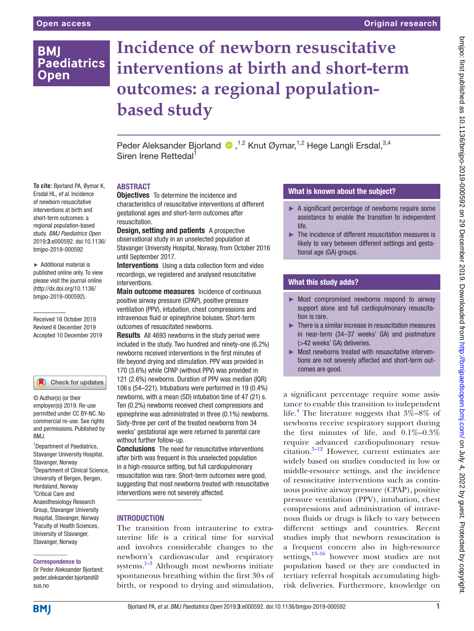**Paediatrics** 

**BMI** 

**Open** 

# **Incidence of newborn resuscitative interventions at birth and short-term outcomes: a regional populationbased study**

Peder Aleksander Bjorland  $\bullet$ ,<sup>1,2</sup> Knut Øymar,<sup>1,2</sup> Hege Langli Ersdal,<sup>3,4</sup> Siren Irene Rettedal

**To cite:** Bjorland PA, Øymar K, Ersdal HL, *et al*. Incidence of newborn resuscitative interventions at birth and short-term outcomes: a regional population-based study. *BMJ Paediatrics Open* 2019;3:e000592. doi:10.1136/ bmjpo-2019-000592

► Additional material is published online only. To view please visit the journal online (http://dx.doi.org/10.1136/ bmjpo-2019-000592).

Received 16 October 2019 Revised 6 December 2019 Accepted 10 December 2019

#### Check for updates

© Author(s) (or their employer(s)) 2019. Re-use permitted under CC BY-NC. No commercial re-use. See rights and permissions. Published by BMJ.

1 Department of Paediatrics, Stavanger University Hospital, Stavanger, Norway 2 Department of Clinical Science, University of Bergen, Bergen, Hordaland, Norway 3 Critical Care and Anaesthesiology Research Group, Stavanger University Hospital, Stavanger, Norway 4 Faculty of Health Sciences, University of Stavanger, Stavanger, Norway

#### Correspondence to

Dr Peder Aleksander Bjorland; peder.aleksander.bjorland@ sus.no

# ABSTRACT

**Objectives** To determine the incidence and characteristics of resuscitative interventions at different gestational ages and short-term outcomes after resuscitation.

Design, setting and patients A prospective observational study in an unselected population at Stavanger University Hospital, Norway, from October 2016 until September 2017.

Interventions Using a data collection form and video recordings, we registered and analysed resuscitative interventions.

Main outcome measures Incidence of continuous positive airway pressure (CPAP), positive pressure ventilation (PPV), intubation, chest compressions and intravenous fluid or epinephrine boluses. Short-term outcomes of resuscitated newborns.

Results All 4693 newborns in the study period were included in the study. Two hundred and ninety-one (6.2%) newborns received interventions in the first minutes of life beyond drying and stimulation. PPV was provided in 170 (3.6%) while CPAP (without PPV) was provided in 121 (2.6%) newborns. Duration of PPV was median (IQR) 106 s (54–221). Intubations were performed in 19 (0.4%) newborns, with a mean (SD) intubation time of 47 (21) s. Ten (0.2%) newborns received chest compressions and epinephrine was administrated in three (0.1%) newborns. Sixty-three per cent of the treated newborns from 34 weeks' gestational age were returned to parental care without further follow-up.

Conclusions The need for resuscitative interventions after birth was frequent in this unselected population in a high-resource setting, but full cardiopulmonary resuscitation was rare. Short-term outcomes were good, suggesting that most newborns treated with resuscitative interventions were not severely affected.

## **INTRODUCTION**

The transition from intrauterine to extrauterine life is a critical time for survival and involves considerable changes to the newborn's cardiovascular and respiratory systems. $1-3$  Although most newborns initiate spontaneous breathing within the first 30s of birth, or respond to drying and stimulation,

# What is known about the subject?

- $\blacktriangleright$  A significant percentage of newborns require some assistance to enable the transition to independent life.
- ► The incidence of different resuscitation measures is likely to vary between different settings and gestational age (GA) groups.

# What this study adds?

- ► Most compromised newborns respond to airway support alone and full cardiopulmonary resuscitation is rare.
- $\blacktriangleright$  There is a similar increase in resuscitation measures in near-term (34–37 weeks' GA) and postmature (>42 weeks' GA) deliveries.
- ► Most newborns treated with resuscitative interventions are not severely affected and short-term outcomes are good.

a significant percentage require some assistance to enable this transition to independent life.<sup>[4](#page-7-1)</sup> The literature suggests that  $3\% - 8\%$  of newborns receive respiratory support during the first minutes of life, and  $0.1\%$ – $0.3\%$ require advanced cardiopulmonary resuscitation.[5–12](#page-7-2) However, current estimates are widely based on studies conducted in low or middle-resource settings, and the incidence of resuscitative interventions such as continuous positive airway pressure (CPAP), positive pressure ventilation (PPV), intubation, chest compressions and administration of intravenous fluids or drugs is likely to vary between different settings and countries. Recent studies imply that newborn resuscitation is a frequent concern also in high-resource settings,<sup>13–16</sup> however most studies are not population based or they are conducted in tertiary referral hospitals accumulating highrisk deliveries. Furthermore, knowledge on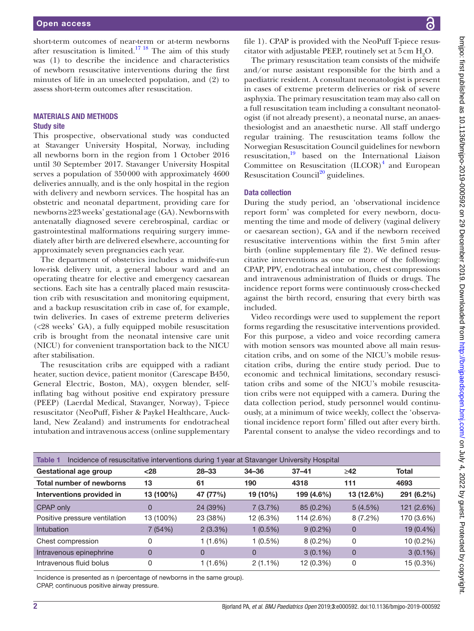short-term outcomes of near-term or at-term newborns after resuscitation is limited.<sup>17</sup> <sup>18</sup> The aim of this study was (1) to describe the incidence and characteristics of newborn resuscitative interventions during the first minutes of life in an unselected population, and (2) to assess short-term outcomes after resuscitation.

# Materials and methods Study site

This prospective, observational study was conducted at Stavanger University Hospital, Norway, including all newborns born in the region from 1 October 2016 until 30 September 2017. Stavanger University Hospital serves a population of 350000 with approximately 4600 deliveries annually, and is the only hospital in the region with delivery and newborn services. The hospital has an obstetric and neonatal department, providing care for newborns ≥23 weeks' gestational age (GA). Newborns with antenatally diagnosed severe cerebrospinal, cardiac or gastrointestinal malformations requiring surgery immediately after birth are delivered elsewhere, accounting for approximately seven pregnancies each year.

The department of obstetrics includes a midwife-run low-risk delivery unit, a general labour ward and an operating theatre for elective and emergency caesarean sections. Each site has a centrally placed main resuscitation crib with resuscitation and monitoring equipment, and a backup resuscitation crib in case of, for example, twin deliveries. In cases of extreme preterm deliveries (<28 weeks' GA), a fully equipped mobile resuscitation crib is brought from the neonatal intensive care unit (NICU) for convenient transportation back to the NICU after stabilisation.

The resuscitation cribs are equipped with a radiant heater, suction device, patient monitor (Carescape B450, General Electric, Boston, MA), oxygen blender, selfinflating bag without positive end expiratory pressure (PEEP) (Laerdal Medical, Stavanger, Norway), T-piece resuscitator (NeoPuff, Fisher & Paykel Healthcare, Auckland, New Zealand) and instruments for endotracheal intubation and intravenous access ([online supplementary](https://dx.doi.org/10.1136/bmjpo-2019-000592)

[file 1\)](https://dx.doi.org/10.1136/bmjpo-2019-000592). CPAP is provided with the NeoPuff T-piece resuscitator with adjustable PEEP, routinely set at  $5 \text{ cm H}_2\text{O}$ . The primary resuscitation team consists of the midwife and/or nurse assistant responsible for the birth and a

paediatric resident. A consultant neonatologist is present in cases of extreme preterm deliveries or risk of severe asphyxia. The primary resuscitation team may also call on a full resuscitation team including a consultant neonatologist (if not already present), a neonatal nurse, an anaesthesiologist and an anaesthetic nurse. All staff undergo regular training. The resuscitation teams follow the Norwegian Resuscitation Council guidelines for newborn resuscitation,[19](#page-7-5) based on the International Liaison Committee on Resuscitation  $(ILCOR)^4$  and European Resuscitation Council<sup>20</sup> guidelines.

# Data collection

During the study period, an 'observational incidence report form' was completed for every newborn, documenting the time and mode of delivery (vaginal delivery or caesarean section), GA and if the newborn received resuscitative interventions within the first 5min after birth [\(online supplementary file 2](https://dx.doi.org/10.1136/bmjpo-2019-000592)). We defined resuscitative interventions as one or more of the following: CPAP, PPV, endotracheal intubation, chest compressions and intravenous administration of fluids or drugs. The incidence report forms were continuously cross-checked against the birth record, ensuring that every birth was included.

Video recordings were used to supplement the report forms regarding the resuscitative interventions provided. For this purpose, a video and voice recording camera with motion sensors was mounted above all main resuscitation cribs, and on some of the NICU's mobile resuscitation cribs, during the entire study period. Due to economic and technical limitations, secondary resuscitation cribs and some of the NICU's mobile resuscitation cribs were not equipped with a camera. During the data collection period, study personnel would continuously, at a minimum of twice weekly, collect the 'observational incidence report form' filled out after every birth. Parental consent to analyse the video recordings and to

<span id="page-1-0"></span>

| Incidence of resuscitative interventions during 1 year at Stavanger University Hospital<br><b>Table 1</b> |           |            |            |            |                |             |
|-----------------------------------------------------------------------------------------------------------|-----------|------------|------------|------------|----------------|-------------|
| <b>Gestational age group</b>                                                                              | $28$      | $28 - 33$  | $34 - 36$  | $37 - 41$  | $\geq 42$      | Total       |
| Total number of newborns                                                                                  | 13        | 61         | 190        | 4318       | 111            | 4693        |
| Interventions provided in                                                                                 | 13 (100%) | 47 (77%)   | 19 (10%)   | 199 (4.6%) | 13 (12.6%)     | 291 (6.2%)  |
| CPAP only                                                                                                 | 0         | 24 (39%)   | 7(3.7%)    | 85 (0.2%)  | 5(4.5%)        | 121 (2.6%)  |
| Positive pressure ventilation                                                                             | 13 (100%) | 23 (38%)   | 12 (6.3%)  | 114 (2.6%) | 8(7.2%)        | 170 (3.6%)  |
| Intubation                                                                                                | 7(54%)    | $2(3.3\%)$ | $1(0.5\%)$ | $9(0.2\%)$ | $\overline{0}$ | $19(0.4\%)$ |
| Chest compression                                                                                         | 0         | $1(1.6\%)$ | $1(0.5\%)$ | $8(0.2\%)$ | 0              | $10(0.2\%)$ |
| Intravenous epinephrine                                                                                   | 0         | 0          | $\Omega$   | $3(0.1\%)$ | $\Omega$       | $3(0.1\%)$  |
| Intravenous fluid bolus                                                                                   | 0         | $1(1.6\%)$ | $2(1.1\%)$ | 12 (0.3%)  | 0              | 15 (0.3%)   |

Incidence is presented as n (percentage of newborns in the same group).

CPAP, continuous positive airway pressure.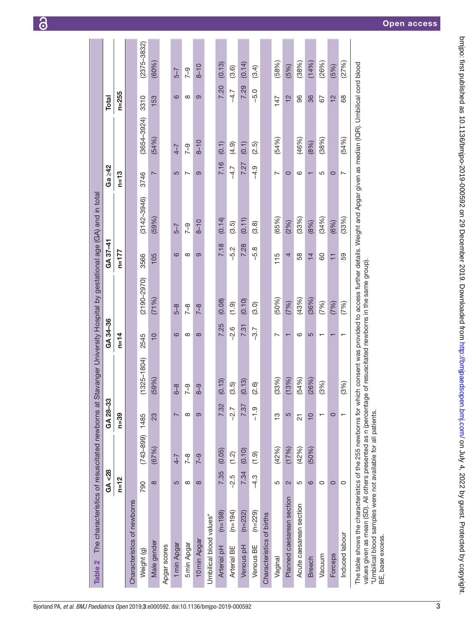| $(n=198)$<br>Arterial pH                                                                                                                                                                                                                                                                                                                                                   |                          | 7.35 (0.05) |                | 7.32 (0.13) | 7.25   | (0.08) | 7.18           | (0.14) | $7.16$ (0.1) |       |               | 7.20 (0.13) |             |
|----------------------------------------------------------------------------------------------------------------------------------------------------------------------------------------------------------------------------------------------------------------------------------------------------------------------------------------------------------------------------|--------------------------|-------------|----------------|-------------|--------|--------|----------------|--------|--------------|-------|---------------|-------------|-------------|
| $(h=194)$<br>Arterial BE                                                                                                                                                                                                                                                                                                                                                   | $-2.5$                   | (1.2)       | $-2.7$         | (3.5)       | $-2.6$ | (1.9)  | $-5.2$         | (3.5)  | $-4.7$       | (4.9) | $-4.7$        | (3.6)       |             |
| $(n=232)$<br>Venous pH                                                                                                                                                                                                                                                                                                                                                     | 7.34                     | (0.10)      | 7.37           | (0.13)      | 7.31   | (0.10) | 7.28           | (0.11) | 7.27         | (0.1) | 7.29          | (0.14)      |             |
| $(n=229)$<br>Venous BE                                                                                                                                                                                                                                                                                                                                                     | $-4.3$                   | (1.9)       | $-1.9$         | (2.6)       | $-3.7$ | (3.0)  | $-5.8$         | (3.8)  | $-4.9$       | (2.5) | $-5.0$        | (3.4)       |             |
| aracteristics of births                                                                                                                                                                                                                                                                                                                                                    |                          |             |                |             |        |        |                |        |              |       |               |             |             |
| Vaginal                                                                                                                                                                                                                                                                                                                                                                    | 5                        | (42%)       | ဗု             | (33%)       |        | (50%)  | 115            | (65%)  |              | (54%) | 147           | (58%)       |             |
| Planned caesarean section                                                                                                                                                                                                                                                                                                                                                  | $\overline{\mathcal{C}}$ | (17%)       | 5              | (13%)       |        | (7%)   | 4              | (2%)   |              |       | 으             | (5%)        |             |
| Acute caesarean section                                                                                                                                                                                                                                                                                                                                                    | 5                        | (42%)       | 21             | (54%        | ဖ      | (43%)  | 58             | (33%)  | ဖ            | (46%) | 96            | (38%)       |             |
| <b>Breech</b>                                                                                                                                                                                                                                                                                                                                                              | ဖ                        | (50%)       | $\overline{0}$ | (26%)       | 5      | (36%)  | $\overline{4}$ | (8%)   |              | (8%)  | 36            | (14%)       |             |
| Vacuum                                                                                                                                                                                                                                                                                                                                                                     |                          |             |                | (3%)        |        | (7%)   | 80             | (34%)  | 5            | (38%) | 59            | (26%)       |             |
| Forceps                                                                                                                                                                                                                                                                                                                                                                    |                          |             | 0              |             |        | (7%)   |                | (6%)   |              |       | $\frac{1}{2}$ | (5%)        |             |
| Induced labour                                                                                                                                                                                                                                                                                                                                                             | c                        |             |                | (3%)        |        | (7%)   | 59             | (33%)  |              | (54%) | 68            | (27%)       |             |
| e table shows the characteristics of the 255 newborns for which consent was provided to access further details. Weight and Apgar given as median (IQR). Umbilical cord blood<br>ues given as mean (SD). All others presented as n (percentage of resuscitated newborns in the same group).<br>mbilical blood samples were not available for all patients.<br>: base excess |                          |             |                |             |        |        |                |        |              |       |               |             | <u>Open</u> |

\*Umbilical blood samples were not available for all patients. \*Umbilical blood samples were not available for all patients.

Forceps Vacuum **Breech** 

BE, base excess. BE, base excess.

Weight (g)

Apgar scores

Apgar scores

1 min Apgar 5 min Apgar

Male gender

Umbilical blood values\*

Jmbilical blood values\*

10 min Apgar

Characteristics of births

Characteristics of births

Characteristics of newborns

Characteristics of newborns

Table 2 The characteristics of resuscitated newborns at Stavanger University Hospital by gestational age (GA) and in total

GA 28-33

 $GA < 28$ 

<span id="page-2-0"></span>Table 2

 $n=12$ 

 $n=39$ 

The characteristics of resuscitated newborns at Stavanger University Hospital by gestational age (GA) and in total

GA 28–38 GA 28–37–41 GA 34–36 GA 34–37–41 GA 34–33 GA 342 Total GA 342 GA 342 n=12 n=39 n=14 n=177 n=13 n=255

GA 34-36  $n = 14$ 

GA 37-41  $n=177$  Weight (g) 7908-7909(790 1940 (780-89-89-91-0) 3905 (2190-2010) 3746 (408-1925 (300-81-2021) 3874 (307-8-2970-Мария в 1945 и 10 (58 °G) 10 (58 °G) 10 (58 °G) 105 (59 °G) 105 (58 °G) 105 (59 °G) 105 (59 °G) 153 (59 °G) 153 (59 °G) 153 (59 °G) 153 (59 °G) 153 (59 °G) 153 (59 °G) 153 (59 °G) 154 (59 °G) 154 (59 °G) 154 (59 °G) 154 (

2545  $\overline{C}$ 

 $(1325 - 1804)$  $(59%)$ 

1485

 $(743 - 899)$  $(67%)$ 

790

 $\infty$ 

23

 $(2190 - 2970)$  $(71%)$ 

 $(2375 - 3832)$  $(60%)$ 

3310

 $(3654 - 3924)$  $(54%)$ 

3746  $\overline{a}$ 

 $(3142 - 3946)$  $(59%)$ 

3566

105

153

 $n = 255$ 

**Total** 

Ga  $\geq$ 42  $n=13$ 

 $8 - 10$  $7 - 9$  $5 - 7$ 

 $8 - 10$  $7 - 9$  $4 - 7$ 

> $\infty$  $\sim$

 $8 - 10$  $7 - 9$  $5 - 7$ 

> $\infty$ ၜ

 $7 - 8$  $5 - 8$ 

> $\infty$  $\infty$

> $\infty$ ၜ

 $7 - 8$  $7 - 9$ 

 $\infty$ 

 $7 - 8$ 

 $\circ$ 

 $\overline{c}$  $\infty$ ၜ

 $\overline{a}$ 

1min Apgar 5 5–7 5 5–7 6–8 6–8 6–8 6–8 5 5–7 5–7 5–7 5–7 6–7 6 5–7 6–7 6 5min Apgar 8 7–8 8 7–9 8 7–8 8 7–9 7 7–9 8 7–9 10min Apgar 8 7–9 9 8–9 8 7–8 9 8–10 9 8–10 9 8–10

 $\circ$ 

 $6-8$  $7 - 9$  $8-9$ 

 $\overline{a}$ 

 $4 - 7$ 

LO  $\infty$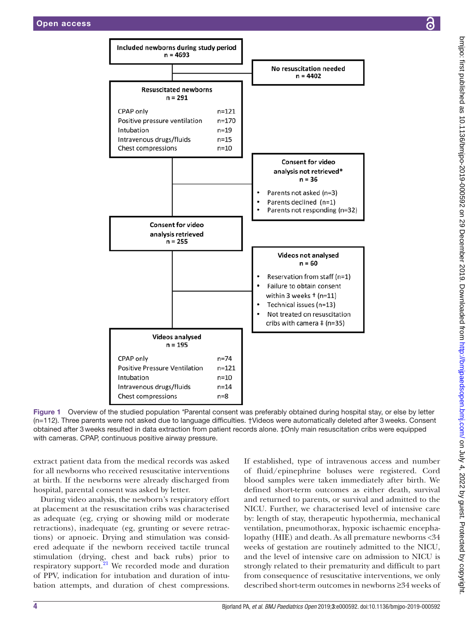

Figure 1 Overview of the studied population *\**Parental consent was preferably obtained during hospital stay, or else by letter (n=112). Three parents were not asked due to language difficulties. †Videos were automatically deleted after 3weeks. Consent obtained after 3weeks resulted in data extraction from patient records alone. ‡Only main resuscitation cribs were equipped with cameras. CPAP, continuous positive airway pressure.

extract patient data from the medical records was asked for all newborns who received resuscitative interventions at birth. If the newborns were already discharged from hospital, parental consent was asked by letter.

During video analysis, the newborn's respiratory effort at placement at the resuscitation cribs was characterised as adequate (eg, crying or showing mild or moderate retractions), inadequate (eg, grunting or severe retractions) or apnoeic. Drying and stimulation was considered adequate if the newborn received tactile truncal stimulation (drying, chest and back rubs) prior to respiratory support.<sup>21</sup> We recorded mode and duration of PPV, indication for intubation and duration of intubation attempts, and duration of chest compressions.

<span id="page-3-0"></span>If established, type of intravenous access and number of fluid/epinephrine boluses were registered. Cord blood samples were taken immediately after birth. We defined short-term outcomes as either death, survival and returned to parents, or survival and admitted to the NICU. Further, we characterised level of intensive care by: length of stay, therapeutic hypothermia, mechanical ventilation, pneumothorax, hypoxic ischaemic encephalopathy (HIE) and death. As all premature newborns <34 weeks of gestation are routinely admitted to the NICU, and the level of intensive care on admission to NICU is strongly related to their prematurity and difficult to part from consequence of resuscitative interventions, we only described short-term outcomes in newborns ≥34 weeks of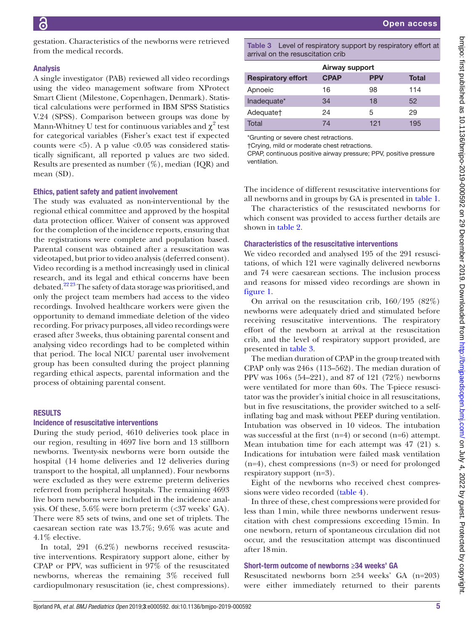gestation. Characteristics of the newborns were retrieved from the medical records.

# Analysis

A single investigator (PAB) reviewed all video recordings using the video management software from XProtect Smart Client (Milestone, Copenhagen, Denmark). Statistical calculations were performed in IBM SPSS Statistics V.24 (SPSS). Comparison between groups was done by Mann-Whitney U test for continuous variables and  $\chi^2$  test for categorical variables (Fisher's exact test if expected counts were  $\langle 5 \rangle$ . A p value  $\langle 0.05 \rangle$  was considered statistically significant, all reported p values are two sided. Results are presented as number  $(\%)$ , median (IQR) and mean (SD).

# Ethics, patient safety and patient involvement

The study was evaluated as non-interventional by the regional ethical committee and approved by the hospital data protection officer. Waiver of consent was approved for the completion of the incidence reports, ensuring that the registrations were complete and population based. Parental consent was obtained after a resuscitation was videotaped, but prior to video analysis (deferred consent). Video recording is a method increasingly used in clinical research, and its legal and ethical concerns have been debated.<sup>2223</sup> The safety of data storage was prioritised, and only the project team members had access to the video recordings. Involved healthcare workers were given the opportunity to demand immediate deletion of the video recording. For privacy purposes, all video recordings were erased after 3weeks, thus obtaining parental consent and analysing video recordings had to be completed within that period. The local NICU parental user involvement group has been consulted during the project planning regarding ethical aspects, parental information and the process of obtaining parental consent.

# **RESULTS**

## Incidence of resuscitative interventions

During the study period, 4610 deliveries took place in our region, resulting in 4697 live born and 13 stillborn newborns. Twenty-six newborns were born outside the hospital (14 home deliveries and 12 deliveries during transport to the hospital, all unplanned). Four newborns were excluded as they were extreme preterm deliveries referred from peripheral hospitals. The remaining 4693 live born newborns were included in the incidence analysis. Of these, 5.6% were born preterm (<37 weeks' GA). There were 85 sets of twins, and one set of triplets. The caesarean section rate was 13.7%; 9.6% was acute and 4.1% elective.

In total, 291 (6.2%) newborns received resuscitative interventions. Respiratory support alone, either by CPAP or PPV, was sufficient in 97% of the resuscitated newborns, whereas the remaining 3% received full cardiopulmonary resuscitation (ie, chest compressions).

<span id="page-4-0"></span>Table 3 Level of respiratory support by respiratory effort at arrival on the resuscitation crib

|                           | Airway support |            |       |
|---------------------------|----------------|------------|-------|
| <b>Respiratory effort</b> | <b>CPAP</b>    | <b>PPV</b> | Total |
| Apnoeic                   | 16             | 98         | 114   |
| Inadequate*               | 34             | 18         | 52    |
| Adequate†                 | 24             | 5          | 29    |
| Total                     | 74             | 121        | 195   |

\*Grunting or severe chest retractions.

†Crying, mild or moderate chest retractions.

CPAP, continuous positive airway pressure; PPV, positive pressure ventilation.

The incidence of different resuscitative interventions for all newborns and in groups by GA is presented in [table](#page-1-0) 1.

The characteristics of the resuscitated newborns for which consent was provided to access further details are shown in [table](#page-2-0) 2.

#### Characteristics of the resuscitative interventions

We video recorded and analysed 195 of the 291 resuscitations, of which 121 were vaginally delivered newborns and 74 were caesarean sections. The inclusion process and reasons for missed video recordings are shown in [figure](#page-3-0) 1.

On arrival on the resuscitation crib, 160/195 (82%) newborns were adequately dried and stimulated before receiving resuscitative interventions. The respiratory effort of the newborn at arrival at the resuscitation crib, and the level of respiratory support provided, are presented in [table](#page-4-0) 3.

The median duration of CPAP in the group treated with CPAP only was 246s (113–562). The median duration of PPV was 106s (54–221), and 87 of 121 (72%) newborns were ventilated for more than 60s. The T-piece resuscitator was the provider's initial choice in all resuscitations, but in five resuscitations, the provider switched to a selfinflating bag and mask without PEEP during ventilation. Intubation was observed in 10 videos. The intubation was successful at the first (n=4) or second (n=6) attempt. Mean intubation time for each attempt was 47 (21) s. Indications for intubation were failed mask ventilation (n=4), chest compressions (n=3) or need for prolonged respiratory support (n=3).

Eight of the newborns who received chest compressions were video recorded ([table](#page-5-0) 4).

In three of these, chest compressions were provided for less than 1min, while three newborns underwent resuscitation with chest compressions exceeding 15min. In one newborn, return of spontaneous circulation did not occur, and the resuscitation attempt was discontinued after 18min.

### Short-term outcome of newborns ≥34 weeks' GA

Resuscitated newborns born  $\geq 34$  weeks' GA (n=203) were either immediately returned to their parents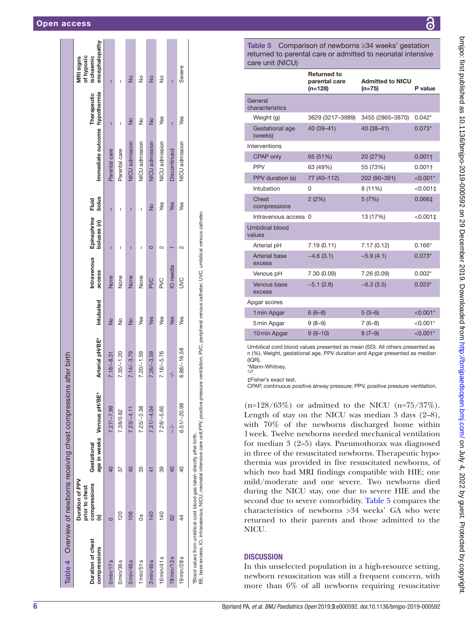| Table 4 Overview of newborns receiving chest compressions after birth                                                                                                                                                                                 |                                                        |                 |                            |                 |               |                       |                            |                |                               |               |                                                        |
|-------------------------------------------------------------------------------------------------------------------------------------------------------------------------------------------------------------------------------------------------------|--------------------------------------------------------|-----------------|----------------------------|-----------------|---------------|-----------------------|----------------------------|----------------|-------------------------------|---------------|--------------------------------------------------------|
| Duration of chest<br>compressions                                                                                                                                                                                                                     | Duration of PPV<br>compressions<br>prior to chest<br>ø | Gestational     | age in weeks Venous pH/BE* | Arterial pH/BE* | Intubated     | Intravenous<br>access | Epinephrine<br>boluses (n) | bolus<br>Fluid | Immediate outcome hypothermia | Therapeutic   | encephalopathy<br>of hypoxic<br>ischaemic<br>MRI signs |
| Omin/17s                                                                                                                                                                                                                                              |                                                        | 40              | $7.27/-7.99$               | $7.18/-8.31$    | $\frac{1}{2}$ | None                  | Ī                          | Ī              | Parental care                 | I             | Ī                                                      |
| $0$ min/36 $s$                                                                                                                                                                                                                                        | $\frac{1}{2}$                                          | 57              | 7.38/0.62                  | $7.35/-1.20$    | ş             | None                  | I                          | I              | Parental care                 | I             | I                                                      |
| $0$ min/46 $s$                                                                                                                                                                                                                                        | 106                                                    | $\overline{a}$  | $7.23/-4.11$               | $7.14/-3.79$    | $\frac{1}{2}$ | None                  |                            |                | NICU admission                | $\frac{1}{2}$ | $\frac{1}{2}$                                          |
| 1 min/51 s                                                                                                                                                                                                                                            | SO                                                     | 35              | $7.25/-2.38$               | $7.20/-1.59$    | Yes           | None                  | I                          | I              | NICU admission                | $\frac{1}{2}$ | $\frac{1}{2}$                                          |
| 3min/46s                                                                                                                                                                                                                                              | 140                                                    | 근               | $7.31/-4.04$               | $7.26/-3.59$    | Yes           | <b>PVC</b>            |                            | $\frac{1}{2}$  | NICU admission                | $\frac{1}{2}$ | $\frac{1}{2}$                                          |
| $16$ min/41 s                                                                                                                                                                                                                                         | 140                                                    | 39              | $7.28/-5.65$               | $7.18/-5.76$    | Yes           | PVC                   | $\sim$                     | Yes            | NICU admission                | Yes           | $\frac{1}{2}$                                          |
| $18$ min/ $13s$                                                                                                                                                                                                                                       | 62                                                     | $\overline{40}$ | $\frac{1}{1}$              |                 | Yes           | <b>IO</b> needle      |                            | Yes            | Discontinued                  |               |                                                        |
| $19$ min/ $28s$                                                                                                                                                                                                                                       | 44                                                     | $\overline{a}$  | $6.51/-20.98$              | $6.88/-16.58$   | Yes           | UVC                   | N                          | Yes            | NICU admission                | Yes           | Severe                                                 |
| BE, base excess; IO, intraosseous; NICU, neonatal intensive care unit;PPV, positive pressure ventilation; PVC, peripheral venous catheter; UVC, umbilical venous catheter.<br>"Blood values from umbilical cord blood gas taken directly after birth. |                                                        |                 |                            |                 |               |                       |                            |                |                               |               |                                                        |

<u>යි</u>

<span id="page-5-1"></span>Table 5 Comparison of newborns ≥34 weeks' gestation returned to parental care or admitted to neonatal intensive care unit (NICU) Returned to parental care (n=128) Admitted to NICU<br>(n=75) P value characteristics Weight (g) 3629 (3217–3989) 3455 (2865–3870) 0.042\* Gestational age 40 (39–41) 40 (38–41) 0.073\* Interventions CPAP only 65 (51%) 20 (27%) 0.001<sup>+</sup> PPV 63 (49%) 55 (73%) 0.001† PPV duration (s) 77 (40-112) 202 (90-391) <0.001\* Intubation 0 8 (11%) <0.001<sup> $\pm$ </sup> compressions 2 (2%) 5 (7%) 0.066‡ Intravenous access 0 0 13 (17%) <0.001‡ Umbilical blood Arterial pH 7.19 (0.11) 7.17 (0.12) 0.166\*

 $-4.6$  (3.1)  $-5.9$  (4.1) 0.073\*

−5.1 (2.8) −6.3 (3.5) 0.023\*

Apgar scores 1 min Apgar 6 (6–8) 5 (3–6) <0.001<sup>\*</sup> 5 min Apgar 9 (8-9) 7 (6-8) <0.001<sup>\*</sup> 10 min Apgar 9 (9-10) 8 (7-9)  $\leq 0.001^*$ Umbilical cord blood values presented as mean (SD). All others presented as n (%). Weight, gestational age, PPV duration and Apgar presented as median  $(IOR)$ .

Venous pH  $7.30(0.09)$   $7.26(0.09)$   $0.002*$ 

\*Mann-Whitney.

†χ2.

General

(weeks)

**Chest** 

values

Arterial base excess

Venous base excess

‡Fisher's exact test.

CPAP, continuous positive airway pressure; PPV, positive pressure ventilation.

 $(n=128/63\%)$  or admitted to the NICU  $(n=75/37\%).$ Length of stay on the NICU was median 3 days (2–8), with 70% of the newborns discharged home within 1week. Twelve newborns needed mechanical ventilation for median 3 (2–5) days. Pneumothorax was diagnosed in three of the resuscitated newborns. Therapeutic hypo thermia was provided in five resuscitated newborns, of which two had MRI findings compatible with HIE; one mild/moderate and one severe. Two newborns died during the NICU stay, one due to severe HIE and the second due to severe comorbidity. [Table](#page-5-1) 5 compares the characteristics of newborns >34 weeks' GA who were returned to their parents and those admitted to the NICU.

# <span id="page-5-0"></span>**DISCUSSION**

In this unselected population in a high-resource setting, newborn resuscitation was still a frequent concern, with more than 6% of all newborns requiring resuscitative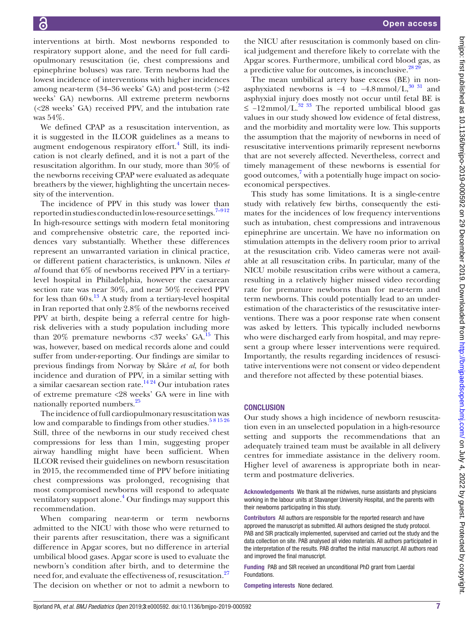interventions at birth. Most newborns responded to respiratory support alone, and the need for full cardiopulmonary resuscitation (ie, chest compressions and epinephrine boluses) was rare. Term newborns had the lowest incidence of interventions with higher incidences among near-term (34–36 weeks' GA) and post-term (>42 weeks' GA) newborns. All extreme preterm newborns (<28 weeks' GA) received PPV, and the intubation rate was 54%.

We defined CPAP as a resuscitation intervention, as it is suggested in the ILCOR guidelines as a means to augment endogenous respiratory effort.<sup>4</sup> Still, its indication is not clearly defined, and it is not a part of the resuscitation algorithm. In our study, more than 30% of the newborns receiving CPAP were evaluated as adequate breathers by the viewer, highlighting the uncertain necessity of the intervention.

The incidence of PPV in this study was lower than reported in studies conducted in low-resource settings.<sup>7-912</sup> In high-resource settings with modern fetal monitoring and comprehensive obstetric care, the reported incidences vary substantially. Whether these differences represent an unwarranted variation in clinical practice, or different patient characteristics, is unknown. Niles *et al* found that 6% of newborns received PPV in a tertiarylevel hospital in Philadelphia, however the caesarean section rate was near 30%, and near 50% received PPV for less than  $60 s^{13}$  A study from a tertiary-level hospital in Iran reported that only 2.8% of the newborns received PPV at birth, despite being a referral centre for highrisk deliveries with a study population including more than 20% premature newborns  $\langle 37 \rangle$  weeks' GA.<sup>15</sup> This was, however, based on medical records alone and could suffer from under-reporting. Our findings are similar to previous findings from Norway by Skåre *et al*, for both incidence and duration of PPV, in a similar setting with a similar caesarean section rate.<sup>1424</sup> Our intubation rates of extreme premature <28 weeks' GA were in line with nationally reported numbers.<sup>[25](#page-7-12)</sup>

The incidence of full cardiopulmonary resuscitation was low and comparable to findings from other studies.<sup>581526</sup> Still, three of the newborns in our study received chest compressions for less than 1min, suggesting proper airway handling might have been sufficient. When ILCOR revised their guidelines on newborn resuscitation in 2015, the recommended time of PPV before initiating chest compressions was prolonged, recognising that most compromised newborns will respond to adequate ventilatory support alone.<sup>4</sup> Our findings may support this recommendation.

When comparing near-term or term newborns admitted to the NICU with those who were returned to their parents after resuscitation, there was a significant difference in Apgar scores, but no difference in arterial umbilical blood gases. Apgar score is used to evaluate the newborn's condition after birth, and to determine the need for, and evaluate the effectiveness of, resuscitation.<sup>27</sup> The decision on whether or not to admit a newborn to

the NICU after resuscitation is commonly based on clinical judgement and therefore likely to correlate with the Apgar scores. Furthermore, umbilical cord blood gas, as a predictive value for outcomes, is inconclusive[.28 29](#page-7-14)

The mean umbilical artery base excess (BE) in nonasphyxiated newborns is  $-4$  to  $-4.8$ mmol/L,<sup>[30 31](#page-7-15)</sup> and asphyxial injury does mostly not occur until fetal BE is  $≤$  -12mmol/L.<sup>32</sup> <sup>33</sup> The reported umbilical blood gas values in our study showed low evidence of fetal distress, and the morbidity and mortality were low. This supports the assumption that the majority of newborns in need of resuscitative interventions primarily represent newborns that are not severely affected. Nevertheless, correct and timely management of these newborns is essential for good outcomes,<sup>[7](#page-7-9)</sup> with a potentially huge impact on socioeconomical perspectives.

This study has some limitations. It is a single-centre study with relatively few births, consequently the estimates for the incidences of low frequency interventions such as intubation, chest compressions and intravenous epinephrine are uncertain. We have no information on stimulation attempts in the delivery room prior to arrival at the resuscitation crib. Video cameras were not available at all resuscitation cribs. In particular, many of the NICU mobile resuscitation cribs were without a camera, resulting in a relatively higher missed video recording rate for premature newborns than for near-term and term newborns. This could potentially lead to an underestimation of the characteristics of the resuscitative interventions. There was a poor response rate when consent was asked by letters. This typically included newborns who were discharged early from hospital, and may represent a group where lesser interventions were required. Importantly, the results regarding incidences of resuscitative interventions were not consent or video dependent and therefore not affected by these potential biases.

## **CONCLUSION**

Our study shows a high incidence of newborn resuscitation even in an unselected population in a high-resource setting and supports the recommendations that an adequately trained team must be available in all delivery centres for immediate assistance in the delivery room. Higher level of awareness is appropriate both in nearterm and postmature deliveries.

Acknowledgements We thank all the midwives, nurse assistants and physicians working in the labour units at Stavanger University Hospital, and the parents with their newborns participating in this study.

Contributors All authors are responsible for the reported research and have approved the manuscript as submitted. All authors designed the study protocol. PAB and SIR practically implemented, supervised and carried out the study and the data collection on site. PAB analysed all video materials. All authors participated in the interpretation of the results. PAB drafted the initial manuscript. All authors read and improved the final manuscript.

Funding PAB and SIR received an unconditional PhD grant from Laerdal Foundations.

Competing interests None declared.